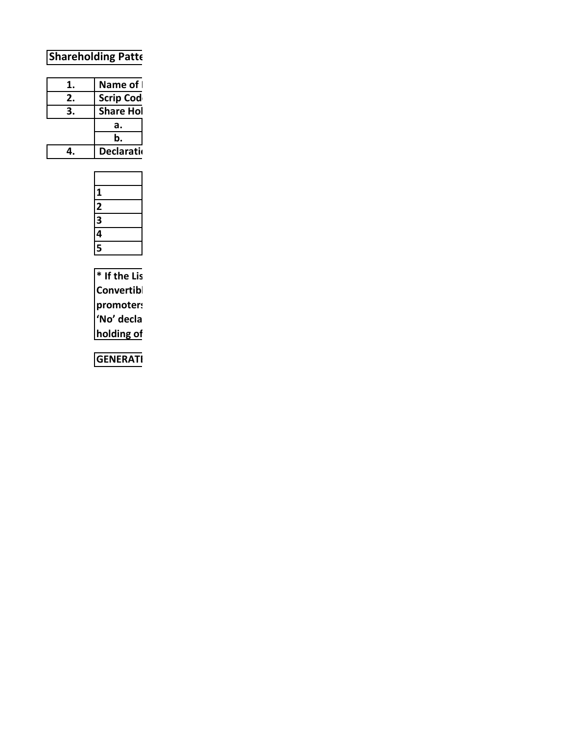# **Shareholding Patte**

| 1. | Name of            |  |  |
|----|--------------------|--|--|
| 2. | <b>Scrip Cod</b>   |  |  |
| 3. | <b>Share Hol</b>   |  |  |
|    | а.                 |  |  |
|    | b.                 |  |  |
|    | <b>Declaration</b> |  |  |
|    |                    |  |  |

| 1 |  |
|---|--|
|   |  |
| 3 |  |
|   |  |
| 5 |  |

 $*$  If the Lis Convertibl promoters 'No' decla holding of

**GENERATI**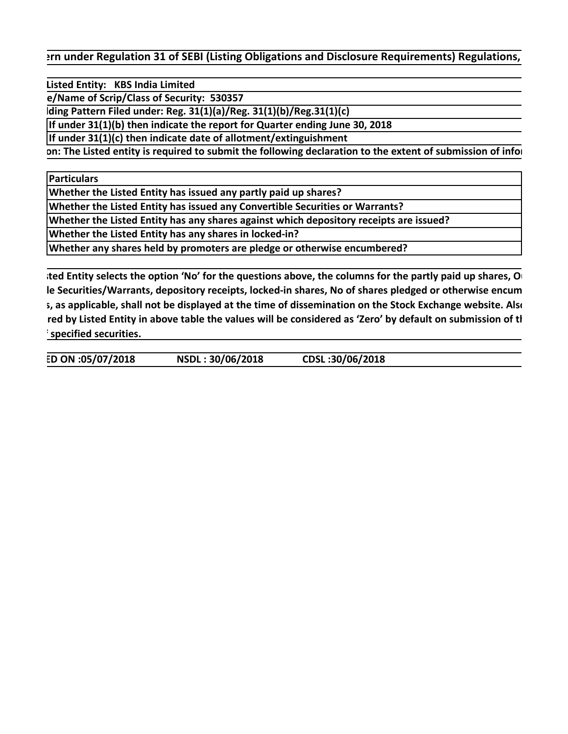**Prim under Regulation 31 of SEBI (Listing Obligations and Disclosure Requirements) Regulations,** 

 **Listed Entity: KBS India Limited**

 **e/Name of Scrip/Class of Security: 530357**

 **lding Pattern Filed under: Reg. 31(1)(a)/Reg. 31(1)(b)/Reg.31(1)(c)** 

**If under 31(1)(b) then indicate the report for Quarter ending June 30, 2018**

**If under 31(1)(c) then indicate date of allotment/extinguishment**

 **on: The Listed entity is required to submit the following declaration to the extent of submission of infor**

**Particulars**

**Whether the Listed Entity has issued any partly paid up shares?**

**Whether the Listed Entity has issued any Convertible Securities or Warrants?**

**Whether the Listed Entity has any shares against which depository receipts are issued?**

**Whether the Listed Entity has any shares in locked-in?**

**Whether any shares held by promoters are pledge or otherwise encumbered?**

 **sted Entity selects the option 'No' for the questions above, the columns for the partly paid up shares, Ou le Securities/Warrants, depository receipts, locked-in shares, No of shares pledged or otherwise encum s, as applicable, shall not be displayed at the time of dissemination on the Stock Exchange website. Also red by Listed Entity in above table the values will be considered as 'Zero' by default on submission of th f specified securities.**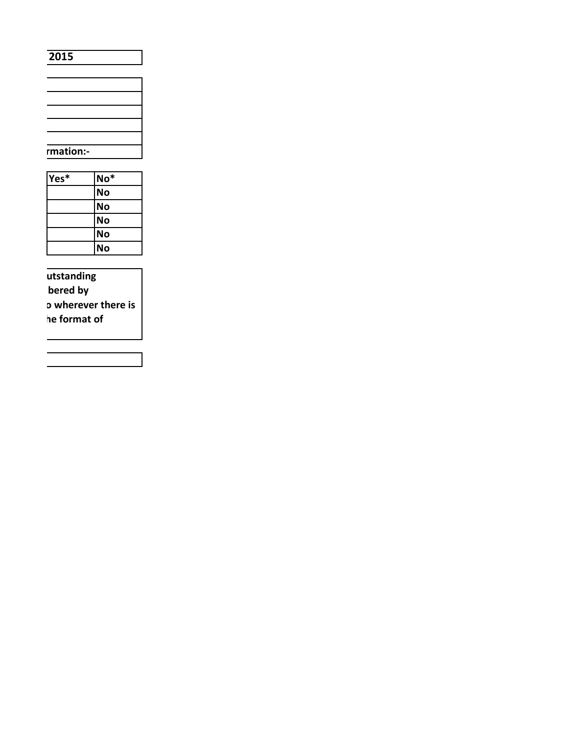#### 2015

| rmation:- |  |
|-----------|--|
|           |  |

| Yes* | $No*$     |
|------|-----------|
|      | <b>No</b> |
|      | <b>No</b> |
|      | <b>No</b> |
|      | <b>No</b> |
|      | No        |

utstanding bered by **D** wherever there is he format of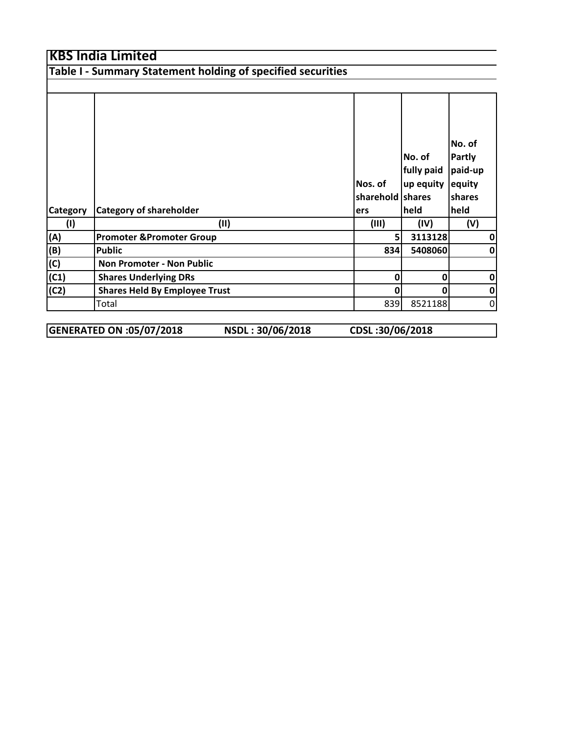**Table I - Summary Statement holding of specified securities**

|                 |                                      |                  |             | No. of        |
|-----------------|--------------------------------------|------------------|-------------|---------------|
|                 |                                      |                  | No. of      | <b>Partly</b> |
|                 |                                      |                  | fully paid  | paid-up       |
|                 |                                      | Nos. of          | up equity   | equity        |
|                 |                                      | sharehold shares |             | shares        |
| <b>Category</b> | <b>Category of shareholder</b>       | ers              | <b>held</b> | held          |
| (1)             | (11)                                 | (III)            | (IV)        | (V)           |
| (A)             | <b>Promoter &amp;Promoter Group</b>  | 5 <sub>l</sub>   | 3113128     | 0             |
| (B)             | <b>Public</b>                        | 834              | 5408060     | 0             |
| (C)             | <b>Non Promoter - Non Public</b>     |                  |             |               |
| (C1)            | <b>Shares Underlying DRs</b>         | $\mathbf{0}$     | 0           | $\mathbf 0$   |
| (C2)            | <b>Shares Held By Employee Trust</b> | 0                | 0           | $\pmb{0}$     |
|                 | Total                                | 839              | 8521188     | $\mathbf 0$   |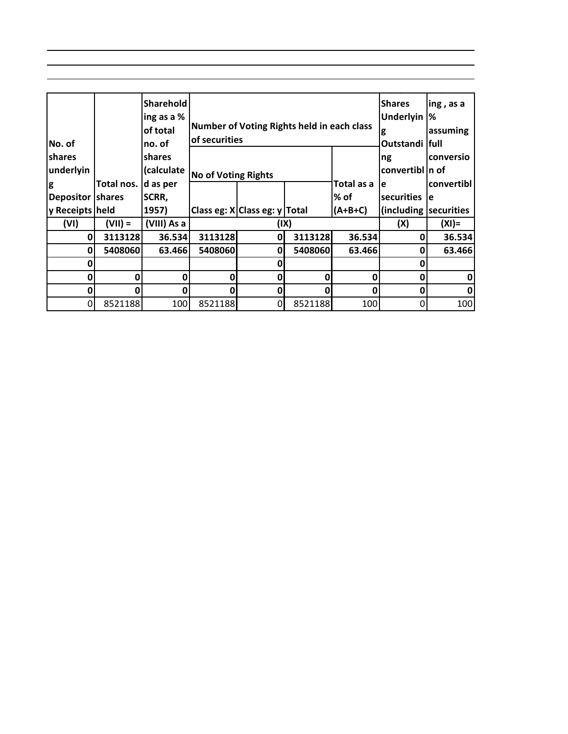|                  |              | <b>Sharehold</b> |                               |                                            |         |                | <b>Shares</b>          | ing, as a  |
|------------------|--------------|------------------|-------------------------------|--------------------------------------------|---------|----------------|------------------------|------------|
|                  |              | ing as a %       |                               |                                            |         |                | <b>Underlyin</b>       | %          |
|                  |              | of total         |                               | Number of Voting Rights held in each class |         |                | g                      | assuming   |
| No. of           |              | no. of           | of securities                 |                                            |         | Outstandi full |                        |            |
| <b>Ishares</b>   |              | <b>shares</b>    |                               |                                            |         |                | ng                     | conversio  |
| underlyin        |              | (calculate       | <b>No of Voting Rights</b>    |                                            |         |                | convertibl In of       |            |
| g                | Total nos.   | d as per         |                               |                                            |         | Total as a     | e                      | convertibl |
| Depositor shares |              | SCRR,            |                               |                                            |         | % of           | securities             | e          |
| y Receipts held  |              | 1957)            | Class eg: X Class eg: y Total |                                            |         | (A+B+C)        | (including securities) |            |
| (VI)             | $(VII) =$    | (VIII) As a      |                               |                                            | (IX)    |                | (X)                    | $(XI) =$   |
| $\mathbf{0}$     | 3113128      | 36.534           | 3113128                       | 0                                          | 3113128 | 36.534         | 0                      | 36.534     |
| $\mathbf{0}$     | 5408060      | 63.466           | 5408060                       | 0                                          | 5408060 | 63.466         | 0                      | 63.466     |
| 0                |              |                  |                               |                                            |         |                | Ω                      |            |
| 0                | 0            | 0                | 0                             | 0                                          |         | 0              | 0                      | 0          |
| ი                | <sup>0</sup> | O                | 0                             | 0                                          |         | 0              | 0                      | 0          |
| 0                | 8521188      | 100              | 8521188                       | 0                                          | 8521188 | 100            | 0                      | 100        |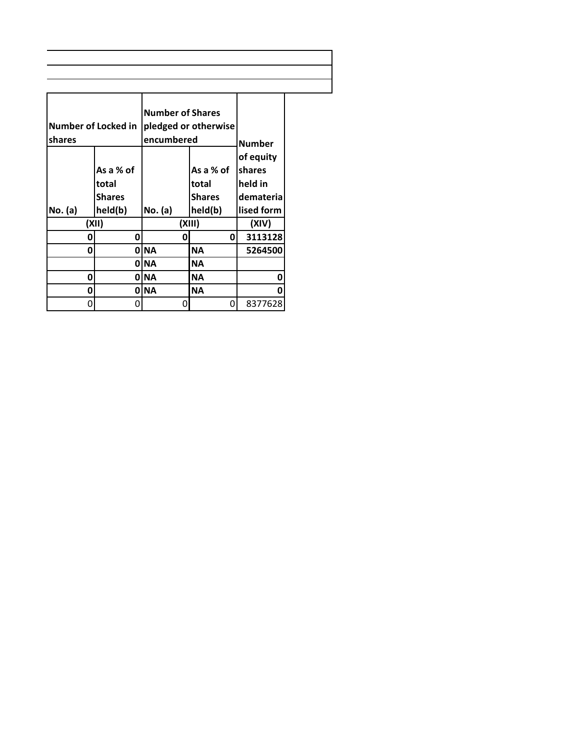| of equity<br>As a % of<br>As a % of<br>shares<br>held in<br>total<br>total<br><b>Shares</b><br><b>Shares</b><br>No. (a)<br>No. (a)<br>held(b)<br>held(b)<br>lised form<br>(XII)<br>(XIII)<br>(XIV)<br>0<br>0<br>0<br>O<br><b>NA</b><br><b>NA</b><br>0<br>ი<br>0 INA<br>ΝA<br>0 INA<br><b>NA</b><br>0<br><b>NA</b><br><b>NA</b><br>0<br>0<br>O<br>Ω<br>Ω | shares | Number of Locked in | <b>Number of Shares</b><br>encumbered | pledged or otherwise | <b>Number</b> |  |
|---------------------------------------------------------------------------------------------------------------------------------------------------------------------------------------------------------------------------------------------------------------------------------------------------------------------------------------------------------|--------|---------------------|---------------------------------------|----------------------|---------------|--|
|                                                                                                                                                                                                                                                                                                                                                         |        |                     |                                       |                      | demateria     |  |
|                                                                                                                                                                                                                                                                                                                                                         |        |                     |                                       |                      |               |  |
|                                                                                                                                                                                                                                                                                                                                                         |        |                     |                                       |                      | 3113128       |  |
|                                                                                                                                                                                                                                                                                                                                                         |        |                     |                                       |                      | 5264500       |  |
|                                                                                                                                                                                                                                                                                                                                                         |        |                     |                                       |                      |               |  |
|                                                                                                                                                                                                                                                                                                                                                         |        |                     |                                       |                      | 0             |  |
|                                                                                                                                                                                                                                                                                                                                                         |        |                     |                                       |                      | 0             |  |
|                                                                                                                                                                                                                                                                                                                                                         |        |                     |                                       |                      | 8377628       |  |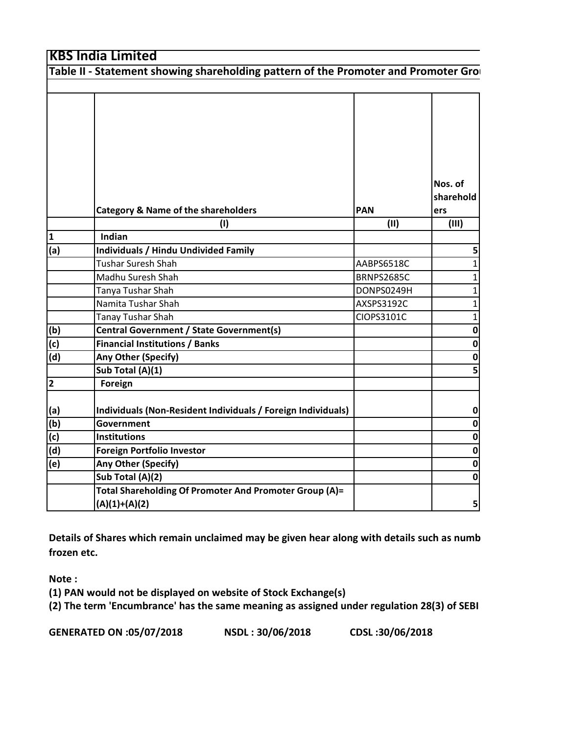|                                                                           | Table II - Statement showing shareholding pattern of the Promoter and Promoter Gro |                   |                             |
|---------------------------------------------------------------------------|------------------------------------------------------------------------------------|-------------------|-----------------------------|
|                                                                           |                                                                                    |                   |                             |
|                                                                           | <b>Category &amp; Name of the shareholders</b>                                     | <b>PAN</b>        | Nos. of<br>sharehold<br>ers |
|                                                                           | (1)                                                                                | (11)              | (III)                       |
| $\overline{\mathbf{1}}$                                                   | Indian                                                                             |                   |                             |
| (a)                                                                       | <b>Individuals / Hindu Undivided Family</b>                                        |                   | 5                           |
|                                                                           | Tushar Suresh Shah                                                                 | AABPS6518C        | 1                           |
|                                                                           | Madhu Suresh Shah                                                                  | <b>BRNPS2685C</b> | 1                           |
|                                                                           | Tanya Tushar Shah                                                                  | DONPS0249H        | 1                           |
|                                                                           | Namita Tushar Shah                                                                 | AXSPS3192C        | 1                           |
|                                                                           | <b>Tanay Tushar Shah</b>                                                           | CIOPS3101C        | 1                           |
|                                                                           | Central Government / State Government(s)                                           |                   | 0                           |
| $\frac{(b)}{(c)}$                                                         | <b>Financial Institutions / Banks</b>                                              |                   | $\mathbf{0}$                |
| (d)                                                                       | Any Other (Specify)                                                                |                   | 0                           |
|                                                                           | Sub Total (A)(1)                                                                   |                   | 5                           |
| $\overline{\mathbf{2}}$                                                   | Foreign                                                                            |                   |                             |
|                                                                           | Individuals (Non-Resident Individuals / Foreign Individuals)                       |                   | 0                           |
|                                                                           | <b>Government</b>                                                                  |                   | 0                           |
| $\begin{array}{c} (a) \ \hline (b) \ \hline (c) \ \hline (d) \end{array}$ | <b>Institutions</b>                                                                |                   | 0                           |
|                                                                           | <b>Foreign Portfolio Investor</b>                                                  |                   | 0                           |
| (e)                                                                       | Any Other (Specify)                                                                |                   | 0                           |
|                                                                           | Sub Total (A)(2)                                                                   |                   | 01                          |
|                                                                           | Total Shareholding Of Promoter And Promoter Group (A)=                             |                   |                             |
|                                                                           | $(A)(1)+(A)(2)$                                                                    |                   | 5                           |

**Details of Shares which remain unclaimed may be given hear along with details such as numb frozen etc.**

**Note :**

**(1) PAN would not be displayed on website of Stock Exchange(s)** 

**(2) The term 'Encumbrance' has the same meaning as assigned under regulation 28(3) of SEBI**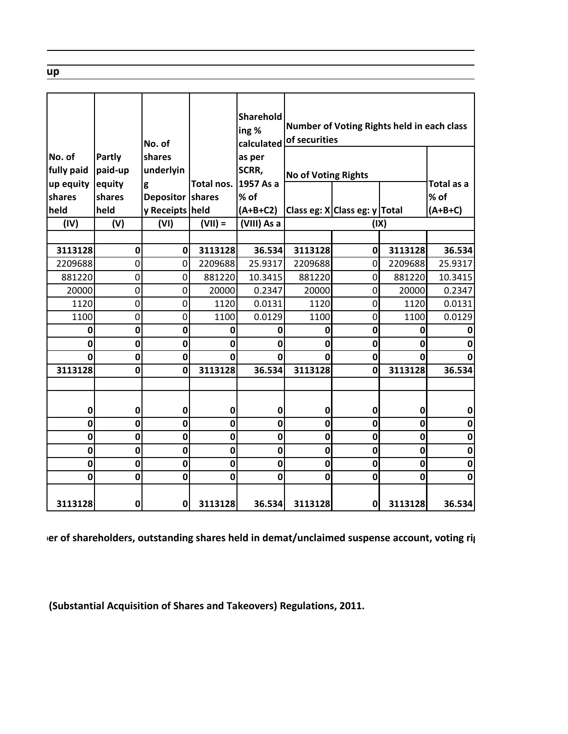| No. of<br>fully paid | Partly<br>paid-up | No. of<br>shares<br>underlyin |                            | Sharehold<br>ing%<br>calculated<br>as per<br>SCRR, | of securities              |                               | Number of Voting Rights held in each class |                          |
|----------------------|-------------------|-------------------------------|----------------------------|----------------------------------------------------|----------------------------|-------------------------------|--------------------------------------------|--------------------------|
| up equity            | equity            | g                             | Total nos.                 | 1957 As a                                          | <b>No of Voting Rights</b> |                               |                                            | Total as a               |
| shares               | shares            | Depositor shares              |                            | % of                                               |                            |                               |                                            | % of                     |
| held                 | held              | y Receipts held               |                            | $(A+B+C2)$                                         |                            | Class eg: X Class eg: y Total |                                            | $(A+B+C)$                |
| (IV)                 | (V)               | (VI)                          | $(VII) =$                  | (VIII) As a                                        |                            |                               | (IX)                                       |                          |
|                      |                   |                               |                            |                                                    |                            |                               |                                            |                          |
| 3113128              | $\mathbf 0$       | $\mathbf 0$                   | 3113128                    | 36.534                                             | 3113128                    | $\mathbf 0$                   | 3113128                                    | 36.534                   |
| 2209688              | 0                 | 0                             | 2209688                    | 25.9317                                            | 2209688                    | $\mathbf 0$                   | 2209688                                    | 25.9317                  |
| 881220               | 0                 | 0                             | 881220                     | 10.3415                                            | 881220                     | 0                             | 881220                                     | 10.3415                  |
| 20000                | 0                 | 0                             | 20000                      | 0.2347                                             | 20000                      | $\overline{0}$                | 20000                                      | 0.2347                   |
| 1120                 | 0                 | $\mathsf{O}$                  | 1120                       | 0.0131                                             | 1120                       | $\overline{0}$                | 1120                                       | 0.0131                   |
| 1100                 | 0                 | 0                             | 1100                       | 0.0129                                             | 1100                       | 0                             | 1100                                       | 0.0129                   |
| 0                    | 0                 | $\mathbf 0$                   | 0                          | $\mathbf 0$                                        | 0                          | $\mathbf 0$                   | 0                                          | 0                        |
| 0                    | 0                 | $\mathbf 0$                   | 0                          | $\mathbf 0$                                        | $\mathbf 0$                | $\mathbf 0$                   | 0                                          | 0                        |
| 0                    | $\mathbf 0$       | $\mathbf 0$                   | $\mathbf 0$                | $\mathbf 0$                                        | $\mathbf 0$                | 0                             | 0                                          | 0                        |
| 3113128              | $\mathbf{0}$      | $\mathbf 0$                   | 3113128                    | 36.534                                             | 3113128                    | $\mathbf 0$                   | 3113128                                    | 36.534                   |
|                      |                   |                               |                            |                                                    |                            |                               |                                            |                          |
|                      |                   |                               |                            |                                                    |                            |                               |                                            |                          |
| 0                    | $\mathbf 0$       | 0                             | $\mathbf 0$                | $\mathbf 0$                                        | $\mathbf 0$                | $\mathbf 0$                   | 0                                          | $\pmb{0}$                |
| 0                    | $\mathbf 0$       | $\mathbf 0$                   | $\mathbf 0$                | $\mathbf 0$                                        | $\mathbf 0$                | $\mathbf 0$                   | $\mathbf 0$                                | $\bf{0}$                 |
| 0                    | $\mathbf 0$       | $\mathbf 0$                   | $\mathbf 0$                | $\mathbf 0$                                        | $\mathbf 0$<br>$\mathbf 0$ | $\mathbf 0$<br>$\mathbf 0$    | 0                                          | $\bf{0}$                 |
| 0                    | 0                 | 0                             | $\mathbf 0$                | 0                                                  | $\mathbf 0$                | $\mathbf 0$                   | 0<br>$\mathbf 0$                           | $\mathbf 0$              |
| 0<br>0               | 0<br>$\mathbf{0}$ | 0<br>$\mathbf 0$              | $\mathbf 0$<br>$\mathbf 0$ | $\mathbf 0$<br>$\mathbf 0$                         | $\mathbf 0$                | $\mathbf 0$                   | 0                                          | $\pmb{0}$<br>$\mathbf 0$ |
|                      |                   |                               |                            |                                                    |                            |                               |                                            |                          |
| 3113128              | $\mathbf 0$       | $\mathbf{0}$                  | 3113128                    | 36.534                                             | 3113128                    | $\mathbf 0$                   | 3113128                                    | 36.534                   |

 **ber of shareholders, outstanding shares held in demat/unclaimed suspense account, voting rig** 

 **(Substantial Acquisition of Shares and Takeovers) Regulations, 2011.**

 **up**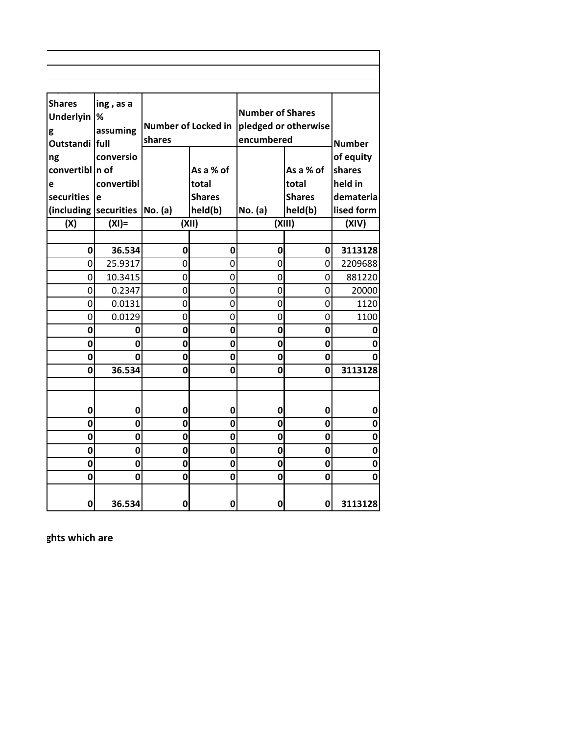| <b>Shares</b>         | ing, as a   |                            |               |                         |                      |              |
|-----------------------|-------------|----------------------------|---------------|-------------------------|----------------------|--------------|
| <b>Underlyin</b>      | %           |                            |               | <b>Number of Shares</b> |                      |              |
| g                     | assuming    | <b>Number of Locked in</b> |               |                         | pledged or otherwise |              |
| Outstandi full        |             | encumbered<br>shares       |               | <b>Number</b>           |                      |              |
| ng                    | conversio   |                            |               |                         |                      | of equity    |
| convertibl n of       |             |                            | As a % of     |                         | As a % of            | shares       |
| e                     | convertibl  |                            | total         |                         | total                | held in      |
| securities            | e           |                            | <b>Shares</b> |                         | <b>Shares</b>        | demateria    |
| (including securities |             | No. (a)                    | held(b)       | No. (a)                 | held(b)              | lised form   |
| (X)                   | $(XI) =$    |                            | (XII)         |                         | (XIII)               | (XIV)        |
|                       |             |                            |               |                         |                      |              |
| 0                     | 36.534      | 0                          | $\mathbf 0$   | $\mathbf 0$             | 0                    | 3113128      |
| 0                     | 25.9317     | 0                          | 0             | 0                       | 0                    | 2209688      |
| 0                     | 10.3415     | 0                          | 0             | 0                       | 0                    | 881220       |
| 0                     | 0.2347      | 0                          | 0             | 0                       | 0                    | 20000        |
| 0                     | 0.0131      | 0                          | 0             | $\overline{0}$          | 0                    | 1120         |
| 0                     | 0.0129      | 0                          | 0             | 0                       | 0                    | 1100         |
| $\mathbf 0$           | 0           | $\mathbf 0$                | 0             | $\mathbf 0$             | $\mathbf 0$          | 0            |
| $\mathbf 0$           | $\mathbf 0$ | $\mathbf 0$                | O             | $\mathbf 0$             | 0                    | $\mathbf 0$  |
| $\mathbf 0$           | 0           | $\mathbf 0$                | 0             | $\mathbf 0$             | 0                    | 0            |
| $\mathbf 0$           | 36.534      | $\mathbf 0$                | 0             | 0                       | $\mathbf{0}$         | 3113128      |
|                       |             |                            |               |                         |                      |              |
|                       |             |                            |               |                         |                      |              |
| 0                     | $\mathbf 0$ | 0                          | 0             | $\mathbf 0$             | 0                    | $\mathbf{0}$ |
| 0                     | $\mathbf 0$ | $\mathbf 0$                | 0             | $\mathbf 0$             | 0                    | $\mathbf{0}$ |
| $\mathbf 0$           | $\mathbf 0$ | $\mathbf 0$                | O             | $\mathbf 0$             | 0                    | $\mathbf 0$  |
| $\mathbf 0$           | 0           | $\mathbf 0$                | 0             | $\mathbf 0$             | 0                    | 0            |
| 0                     | $\mathbf 0$ | $\mathbf 0$                | 0             | 0                       | 0                    | $\mathbf 0$  |
| 0                     | 0           | $\mathbf 0$                | 0             | 0                       | 0                    | 0            |
| 0                     | 36.534      | 0                          | 0             | 0                       | $\mathbf 0$          | 3113128      |
|                       |             |                            |               |                         |                      |              |

 **ghts which are**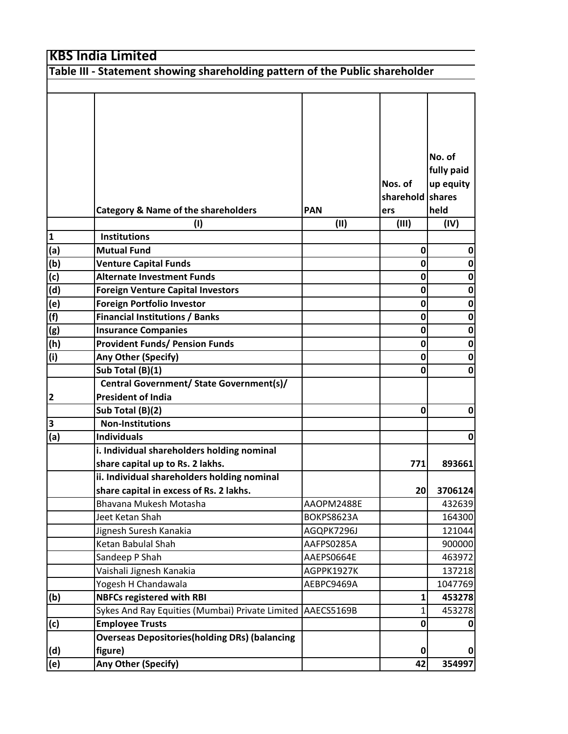**Table III - Statement showing shareholding pattern of the Public shareholder** Τ Τ Τ Τ

ן

|                         |                                                       |            |                  | No. of      |
|-------------------------|-------------------------------------------------------|------------|------------------|-------------|
|                         |                                                       |            |                  | fully paid  |
|                         |                                                       |            | Nos. of          | up equity   |
|                         |                                                       |            | sharehold shares |             |
|                         | <b>Category &amp; Name of the shareholders</b>        | <b>PAN</b> | ers              | held        |
|                         | (1)                                                   | (11)       | (III)            | (IV)        |
| $\mathbf{1}$            | <b>Institutions</b>                                   |            |                  |             |
| (a)                     | <b>Mutual Fund</b>                                    |            | $\bf{0}$         | 0           |
| (b)                     | <b>Venture Capital Funds</b>                          |            | 0                | 0           |
| $\overline{\text{(c)}}$ | <b>Alternate Investment Funds</b>                     |            | 0                | 0           |
| $\overline{d}$          | <b>Foreign Venture Capital Investors</b>              |            | 0                | 0           |
|                         | <b>Foreign Portfolio Investor</b>                     |            | 0                | $\bf{0}$    |
| $\frac{e}{f}$           | <b>Financial Institutions / Banks</b>                 |            | 0                | $\bf{0}$    |
| (g)                     | <b>Insurance Companies</b>                            |            | 0                | 0           |
| (h)                     | <b>Provident Funds/ Pension Funds</b>                 |            | 0                | 0           |
| (i)                     | Any Other (Specify)                                   |            | 0                | $\mathbf 0$ |
|                         | Sub Total (B)(1)                                      |            | 0                | $\mathbf 0$ |
|                         | Central Government/ State Government(s)/              |            |                  |             |
| $\mathbf{2}$            | <b>President of India</b>                             |            |                  |             |
|                         | Sub Total (B)(2)                                      |            | 0                | 0           |
| 3                       | <b>Non-Institutions</b>                               |            |                  |             |
| (a)                     | <b>Individuals</b>                                    |            |                  | 0           |
|                         | i. Individual shareholders holding nominal            |            |                  |             |
|                         | share capital up to Rs. 2 lakhs.                      |            | 771              | 893661      |
|                         | ii. Individual shareholders holding nominal           |            |                  |             |
|                         | share capital in excess of Rs. 2 lakhs.               |            | 20               | 3706124     |
|                         | Bhavana Mukesh Motasha                                | AAOPM2488E |                  | 432639      |
|                         | Jeet Ketan Shah                                       | BOKPS8623A |                  | 164300      |
|                         | Jignesh Suresh Kanakia                                | AGQPK7296J |                  | 121044      |
|                         | Ketan Babulal Shah                                    | AAFPS0285A |                  | 900000      |
|                         | Sandeep P Shah                                        | AAEPS0664E |                  | 463972      |
|                         | Vaishali Jignesh Kanakia                              | AGPPK1927K |                  | 137218      |
|                         | Yogesh H Chandawala                                   | AEBPC9469A |                  | 1047769     |
| (b)                     | <b>NBFCs registered with RBI</b>                      |            | 1                | 453278      |
|                         | Sykes And Ray Equities (Mumbai) Private Limited       | AAECS5169B |                  | 453278      |
| (c)                     | <b>Employee Trusts</b>                                |            | 0                |             |
|                         | <b>Overseas Depositories (holding DRs) (balancing</b> |            |                  |             |
| (d)                     | figure)                                               |            | 0                | 0           |
| (e)                     | Any Other (Specify)                                   |            | 42               | 354997      |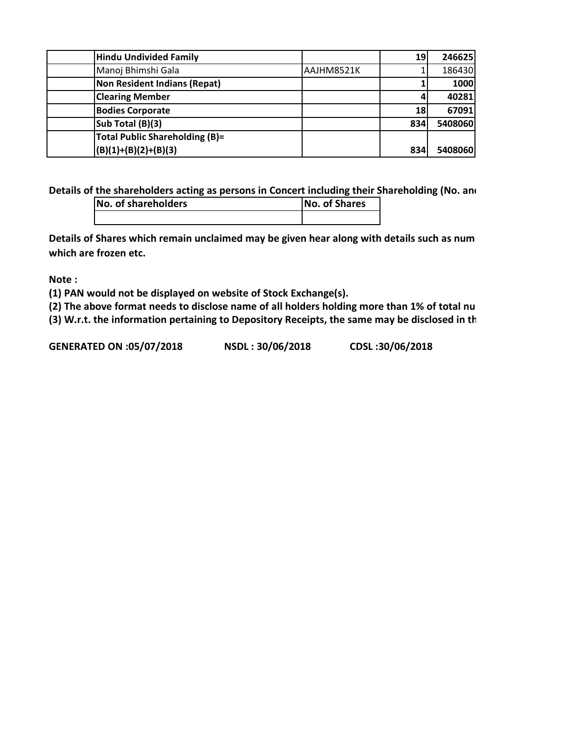| <b>Hindu Undivided Family</b>         |            | 19  | 246625  |
|---------------------------------------|------------|-----|---------|
| Manoj Bhimshi Gala                    | AAJHM8521K |     | 186430  |
| <b>Non Resident Indians (Repat)</b>   |            |     | 1000    |
| <b>Clearing Member</b>                |            |     | 40281   |
| <b>Bodies Corporate</b>               |            | 18  | 67091   |
| Sub Total (B)(3)                      |            | 834 | 5408060 |
| <b>Total Public Shareholding (B)=</b> |            |     |         |
| $(B)(1)+(B)(2)+(B)(3)$                |            | 834 | 5408060 |

**Details of the shareholders acting as persons in Concert including their Shareholding (No. and** 

| No. of shareholders | <b>No. of Shares</b> |
|---------------------|----------------------|
|                     |                      |

**Details of Shares which remain unclaimed may be given hear along with details such as num which are frozen etc.**

**Note :**

**(1) PAN would not be displayed on website of Stock Exchange(s).** 

**(2) The above format needs to disclose name of all holders holding more than 1% of total nu** 

**(3) W.r.t. the information pertaining to Depository Receipts, the same may be disclosed in th**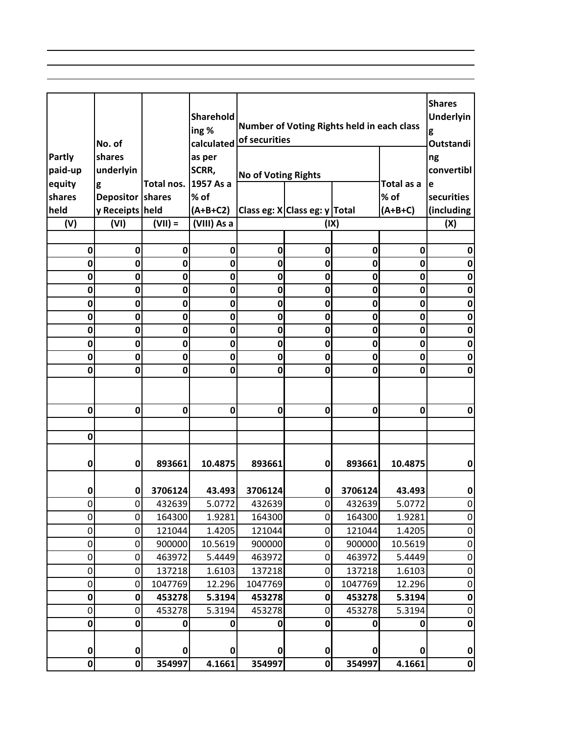|             |                  |             |             |                            |                                            |             |                   | <b>Shares</b> |
|-------------|------------------|-------------|-------------|----------------------------|--------------------------------------------|-------------|-------------------|---------------|
|             |                  |             | Sharehold   |                            | Number of Voting Rights held in each class |             |                   | Underlyin     |
|             |                  |             | ing%        | of securities              |                                            |             |                   | g             |
|             | No. of           |             | calculated  |                            |                                            |             |                   | Outstandi     |
| Partly      | shares           |             | as per      |                            |                                            |             |                   | ng            |
| paid-up     | underlyin        |             | SCRR,       | <b>No of Voting Rights</b> |                                            |             |                   | convertibl    |
| equity      | g                | Total nos.  | 1957 As a   |                            |                                            |             | Total as a        | е             |
| shares      | Depositor shares |             | % of        |                            |                                            |             | % of<br>$(A+B+C)$ | securities    |
| held        | y Receipts held  |             | $(A+B+C2)$  |                            | Class eg: X Class eg: y Total              |             |                   | (including    |
| (V)         | (VI)             | $(VII) =$   | (VIII) As a |                            | (IX)                                       |             |                   | (X)           |
| 0           | 0                | 0           | 0           | 0                          | 0                                          | 0           | 0                 | 0             |
| 0           | 0                | 0           | $\bf{0}$    | 0                          | 0                                          | $\mathbf 0$ | $\mathbf 0$       | 0             |
| 0           | 0                | 0           | $\bf{0}$    | 0                          | 0                                          | 0           | $\mathbf 0$       | 0             |
| 0           | 0                | 0           | $\bf{0}$    | 0                          | 0                                          | 0           | 0                 | 0             |
| 0           | 0                | $\mathbf 0$ | $\mathbf 0$ | 0                          | $\mathbf{0}$                               | 0           | $\mathbf 0$       | 0             |
| 0           | 0                | 0           | 0           | 0                          | 0                                          | 0           | $\mathbf 0$       | 0             |
| 0           | 0                | $\mathbf 0$ | $\bf{0}$    | 0                          | 0                                          | $\mathbf 0$ | $\mathbf 0$       | $\mathbf 0$   |
| 0           | 0                | 0           | $\bf{0}$    | 0                          | 0                                          | $\mathbf 0$ | $\mathbf 0$       | 0             |
| 0           | 0                | $\mathbf 0$ | $\mathbf 0$ | 0                          | 0                                          | 0           | 0                 | 0             |
| 0           | 0                | 0           | $\mathbf 0$ | 0                          | $\mathbf{0}$                               | 0           | $\mathbf 0$       | 0             |
|             |                  |             |             |                            |                                            |             |                   |               |
|             |                  |             |             |                            |                                            |             |                   |               |
| 0           | $\mathbf 0$      | $\mathbf 0$ | $\mathbf 0$ | 0                          | $\mathbf{0}$                               | 0           | 0                 | $\mathbf 0$   |
|             |                  |             |             |                            |                                            |             |                   |               |
| $\mathbf 0$ |                  |             |             |                            |                                            |             |                   |               |
|             |                  |             |             |                            |                                            |             |                   |               |
| 0           | 0                | 893661      | 10.4875     | 893661                     | 0                                          | 893661      | 10.4875           | 0             |
|             |                  |             |             |                            |                                            |             |                   |               |
| 0           | 0                | 3706124     | 43.493      | 3706124                    | 0                                          | 3706124     | 43.493            | 0             |
| 0           | $\overline{0}$   | 432639      | 5.0772      | 432639                     | $\mathbf{0}$                               | 432639      | 5.0772            | 0             |
| 0           | 0                | 164300      | 1.9281      | 164300                     | 0                                          | 164300      | 1.9281            | 0             |
| 0           | 0                | 121044      | 1.4205      | 121044                     | $\overline{0}$                             | 121044      | 1.4205            | 0             |
| 0           | 0                | 900000      | 10.5619     | 900000                     | 0                                          | 900000      | 10.5619           | 0             |
| 0           | 0                | 463972      | 5.4449      | 463972                     | $\overline{0}$                             | 463972      | 5.4449            | 0             |
| 0           | 0                | 137218      | 1.6103      | 137218                     | $\overline{0}$                             | 137218      | 1.6103            | 0             |
| 0           | 0                | 1047769     | 12.296      | 1047769                    | 0                                          | 1047769     | 12.296            | 0             |
| 0           | 0                | 453278      | 5.3194      | 453278                     | 0                                          | 453278      | 5.3194            | $\mathbf 0$   |
| 0           | 0                | 453278      | 5.3194      | 453278                     | 0                                          | 453278      | 5.3194            | 0             |
| $\mathbf 0$ | 0                | 0           | 0           | 0                          | 0                                          | 0           | 0                 | 0             |
|             |                  |             |             |                            |                                            |             |                   |               |
| 0           | 0                | O           | 0           |                            | 0                                          | o           | 0                 | 0             |
| $\mathbf 0$ | $\mathbf 0$      | 354997      | 4.1661      | 354997                     | $\mathbf{0}$                               | 354997      | 4.1661            | $\mathbf{0}$  |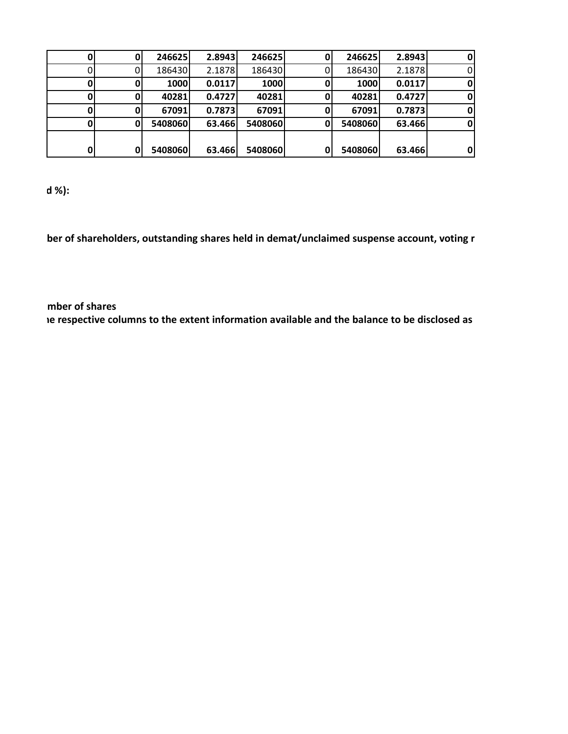|    | υ  | 246625  | 2.8943 | 246625  | 0 | 246625  | 2.8943 | 0 |
|----|----|---------|--------|---------|---|---------|--------|---|
|    |    | 186430  | 2.1878 | 186430  |   | 186430  | 2.1878 |   |
| O  |    | 1000    | 0.0117 | 1000    | 0 | 1000    | 0.0117 | 0 |
|    |    | 40281   | 0.4727 | 40281   | 0 | 40281   | 0.4727 | 0 |
| 01 | 01 | 67091   | 0.7873 | 67091   | 0 | 67091   | 0.7873 | 0 |
|    | 0  | 5408060 | 63.466 | 5408060 | 0 | 5408060 | 63.466 | 0 |
|    |    |         |        |         |   |         |        |   |
| 0  | 0  | 5408060 | 63.466 | 5408060 | 0 | 5408060 | 63.466 | 0 |

 **d %):**

 **ber of shareholders, outstanding shares held in demat/unclaimed suspense account, voting r** 

 **mber of shares he respective columns to the extent information available and the balance to be disclosed as**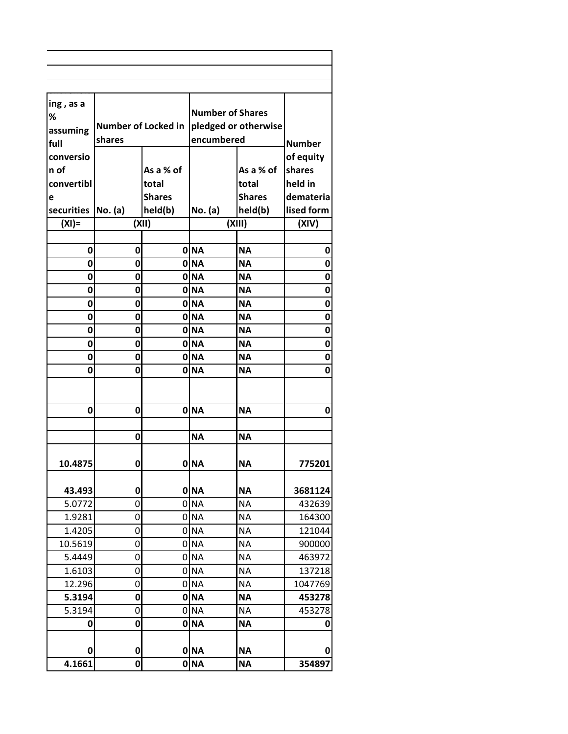| ing, as a  |                            |               |                         |               |               |
|------------|----------------------------|---------------|-------------------------|---------------|---------------|
| %          |                            |               | <b>Number of Shares</b> |               |               |
| assuming   | <b>Number of Locked in</b> |               | pledged or otherwise    |               |               |
| full       | shares                     |               | encumbered              |               | <b>Number</b> |
| conversio  |                            |               |                         |               | of equity     |
| n of       |                            | As a % of     |                         | As a % of     | shares        |
| convertibl |                            | total         |                         | total         | held in       |
| е          |                            | <b>Shares</b> |                         | <b>Shares</b> | demateria     |
| securities | No. (a)                    | held(b)       | No. (a)                 | held(b)       | lised form    |
| $(XI) =$   |                            | (XII)         |                         | (XIII)        | (XIV)         |
|            |                            |               |                         |               |               |
| 0          | 0                          |               | 0 NA                    | <b>NA</b>     | 0             |
| 0          | 0                          |               | 0 NA                    | <b>NA</b>     | 0             |
| 0          | 0                          |               | 0 NA                    | <b>NA</b>     | 0             |
| 0          | 0                          |               | 0 NA                    | <b>NA</b>     | 0             |
| 0          | 0                          |               | 0 NA                    | <b>NA</b>     | 0             |
| 0          | 0                          |               | 0 NA                    | <b>NA</b>     | 0             |
| 0          | 0                          |               | 0 NA                    | <b>NA</b>     | 0             |
| 0          | 0                          |               | 0 NA                    | <b>NA</b>     | 0             |
| 0          | 0                          |               | 0 NA                    | <b>NA</b>     | 0             |
| 0          | 0                          |               | 0 NA                    | <b>NA</b>     | 0             |
|            |                            |               |                         |               |               |
| 0          | 0                          |               | 0 NA                    | <b>NA</b>     | $\mathbf 0$   |
|            |                            |               |                         |               |               |
|            | 0                          |               | <b>NA</b>               | <b>NA</b>     |               |
|            |                            |               |                         |               |               |
| 10.4875    | 0                          |               | 0 NA                    | <b>NA</b>     | 775201        |
|            |                            |               |                         |               |               |
| 43.493     | 0                          |               | 0 NA                    | <b>NA</b>     | 3681124       |
| 5.0772     | 0                          |               | 0 <sub>NA</sub>         | <b>NA</b>     | 432639        |
| 1.9281     | 0                          |               | 0 NA                    | <b>NA</b>     | 164300        |
| 1.4205     | 0                          |               | 0 NA                    | <b>NA</b>     | 121044        |
| 10.5619    | 0                          |               | 0 <sub>NA</sub>         | <b>NA</b>     | 900000        |
| 5.4449     | 0                          |               | 0 NA                    | <b>NA</b>     | 463972        |
| 1.6103     | 0                          |               | 0 NA                    | <b>NA</b>     | 137218        |
| 12.296     | 0                          |               | 0 NA                    | <b>NA</b>     | 1047769       |
| 5.3194     | 0                          |               | 0 NA                    | <b>NA</b>     | 453278        |
| 5.3194     | 0                          |               | 0 <sub>NA</sub>         | <b>NA</b>     | 453278        |
| 0          | 0                          |               | 0 NA                    | <b>NA</b>     | 0             |
| 0          | 0                          |               | 0 NA                    | ΝA            | 0             |
| 4.1661     | 0                          |               | 0 NA                    | <b>NA</b>     | 354897        |
|            |                            |               |                         |               |               |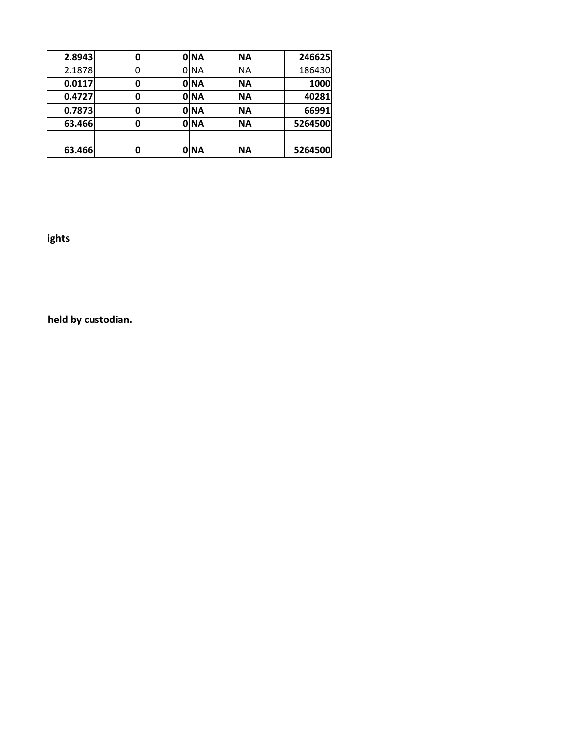| 2.8943 | 0 | 0 NA | <b>NA</b> | 246625  |
|--------|---|------|-----------|---------|
| 2.1878 |   | 0 NA | <b>NA</b> | 186430  |
| 0.0117 | 0 | 0 NA | <b>NA</b> | 1000    |
| 0.4727 | 0 | 0 NA | <b>NA</b> | 40281   |
| 0.7873 | 0 | 0 NA | <b>NA</b> | 66991   |
| 63.466 | 0 | 0 NA | <b>NA</b> | 5264500 |
|        |   |      |           |         |
| 63.466 | 0 | 0 NA | <b>NA</b> | 5264500 |

 **ights** 

 **held by custodian.**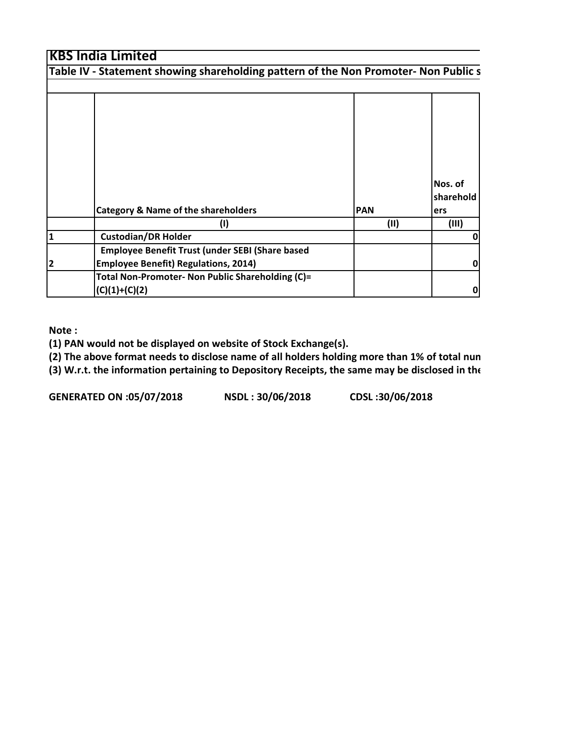|                | Table IV - Statement showing shareholding pattern of the Non Promoter- Non Public s            |            |                             |
|----------------|------------------------------------------------------------------------------------------------|------------|-----------------------------|
|                |                                                                                                |            |                             |
|                | <b>Category &amp; Name of the shareholders</b>                                                 | <b>PAN</b> | Nos. of<br>sharehold<br>ers |
|                | $\sf (I)$                                                                                      | (11)       | (III)                       |
| $\mathbf{1}$   | <b>Custodian/DR Holder</b>                                                                     |            |                             |
| $\overline{2}$ | Employee Benefit Trust (under SEBI (Share based<br><b>Employee Benefit) Regulations, 2014)</b> |            |                             |
|                | Total Non-Promoter- Non Public Shareholding (C)=<br>$(C)(1)+(C)(2)$                            |            | 0                           |

**Note :**

**(1) PAN would not be displayed on website of Stock Exchange(s).** 

**(2) The above format needs to disclose name of all holders holding more than 1% of total num (3) W.r.t. the information pertaining to Depository Receipts, the same may be disclosed in the**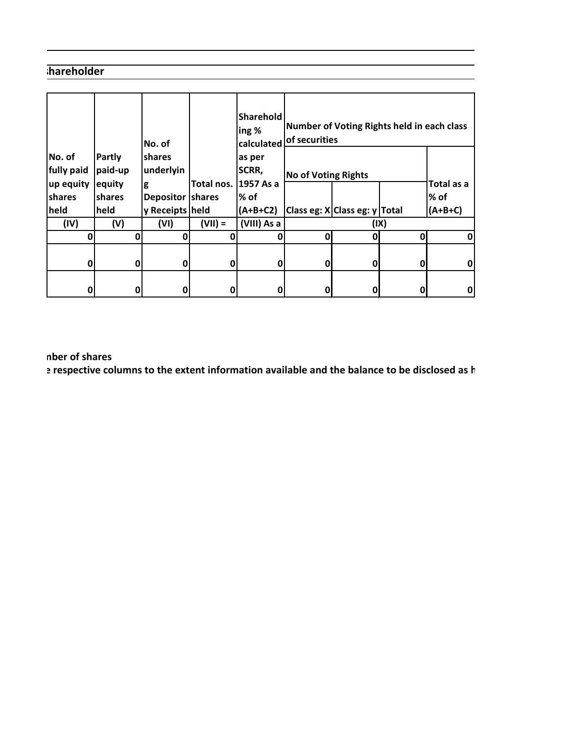### **shareholder**

|                                   |                                    | No. of                           |            | <b>Sharehold</b><br>ing %<br>calculated | of securities              |                               | Number of Voting Rights held in each class |            |
|-----------------------------------|------------------------------------|----------------------------------|------------|-----------------------------------------|----------------------------|-------------------------------|--------------------------------------------|------------|
| No. of<br>fully paid<br>up equity | <b>Partly</b><br>paid-up<br>equity | <b>Ishares</b><br>underlyin<br>g | Total nos. | as per<br>SCRR,<br>1957 As a            | <b>No of Voting Rights</b> |                               |                                            | Total as a |
| shares                            | shares                             | Depositor shares                 |            | $%$ of                                  |                            |                               |                                            | % of       |
| held                              | held                               | y Receipts held                  |            | (A+B+C2)                                |                            | Class eg: X Class eg: y Total |                                            | $(A+B+C)$  |
| (IV)                              | (V)                                | (VI)                             | $(VII) =$  | (VIII) As a                             |                            |                               | (IX)                                       |            |
| 0                                 | 0                                  | 0                                | 0          | 0                                       | ŋ                          | 0                             | $\mathbf{0}$                               | 0          |
| 0                                 | 0                                  | 0                                | 0          | 0                                       | 0                          | 0                             | 0                                          | $\pmb{0}$  |
| 0                                 | 0                                  | 0                                | 0          | 0                                       | 0                          | 0                             |                                            | 0          |

 **mber of shares**

 **e respective columns to the extent information available and the balance to be disclosed as h**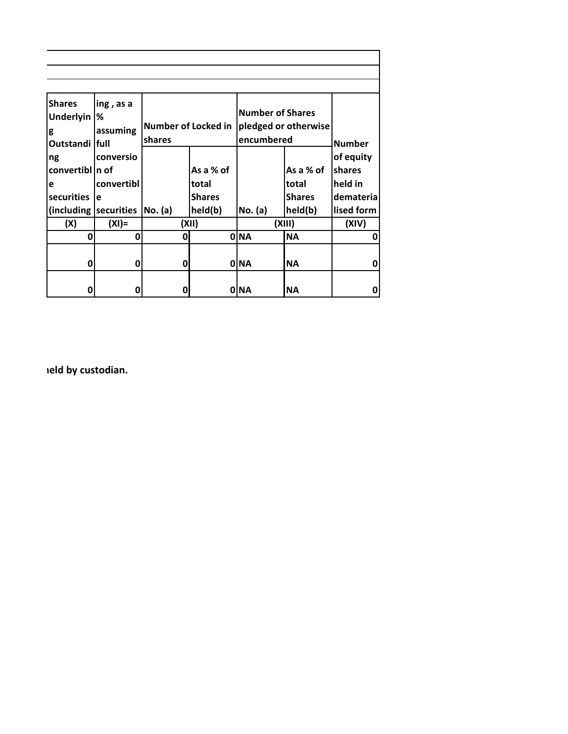| <b>Shares</b><br>ing, as a<br><b>Underlyin</b><br>℅<br>assuming<br>g<br>Outstandi full |                      | <b>Number of Locked in</b><br>shares |               | <b>Number of Shares</b><br>pledged or otherwise<br>encumbered | <b>Number</b> |            |
|----------------------------------------------------------------------------------------|----------------------|--------------------------------------|---------------|---------------------------------------------------------------|---------------|------------|
| ng                                                                                     | conversio            |                                      |               |                                                               |               | of equity  |
| convertibl n of                                                                        |                      |                                      | As a % of     |                                                               | As a % of     | shares     |
| e                                                                                      | convertibl           |                                      | total         |                                                               | total         | held in    |
| securities                                                                             | e                    |                                      | <b>Shares</b> |                                                               | <b>Shares</b> | demateria  |
| (including)                                                                            | securities   No. (a) |                                      | held(b)       | No. (a)                                                       | held(b)       | lised form |
| (X)                                                                                    | $(XI) =$             |                                      | (XII)         |                                                               | (XIII)        | (XIV)      |
| 0                                                                                      | 0                    | 0                                    |               | 0 NA                                                          | <b>NA</b>     | 0          |
| 0                                                                                      | 0                    | 0                                    |               | 0 NA                                                          | <b>NA</b>     | 0          |
| 0                                                                                      | 0                    | 0                                    |               | 0 NA                                                          | <b>NA</b>     | 0          |

 **held by custodian.**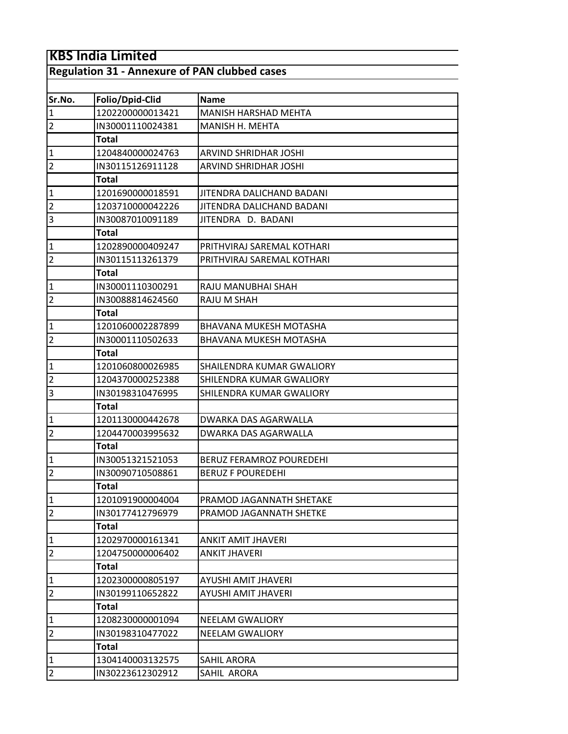| <b>Regulation 31 - Annexure of PAN clubbed cases</b> |
|------------------------------------------------------|
|------------------------------------------------------|

| Folio/Dpid-Clid  | Name                          |
|------------------|-------------------------------|
| 1202200000013421 | <b>MANISH HARSHAD MEHTA</b>   |
| IN30001110024381 | MANISH H. MEHTA               |
| <b>Total</b>     |                               |
| 1204840000024763 | ARVIND SHRIDHAR JOSHI         |
| IN30115126911128 | ARVIND SHRIDHAR JOSHI         |
| Total            |                               |
| 1201690000018591 | JITENDRA DALICHAND BADANI     |
| 1203710000042226 | JITENDRA DALICHAND BADANI     |
| IN30087010091189 | JITENDRA D. BADANI            |
| <b>Total</b>     |                               |
| 1202890000409247 | PRITHVIRAJ SAREMAL KOTHARI    |
| IN30115113261379 | PRITHVIRAJ SAREMAL KOTHARI    |
| <b>Total</b>     |                               |
| IN30001110300291 | RAJU MANUBHAI SHAH            |
| IN30088814624560 | RAJU M SHAH                   |
| <b>Total</b>     |                               |
| 1201060002287899 | BHAVANA MUKESH MOTASHA        |
| IN30001110502633 | <b>BHAVANA MUKESH MOTASHA</b> |
| <b>Total</b>     |                               |
| 1201060800026985 | SHAILENDRA KUMAR GWALIORY     |
| 1204370000252388 | SHILENDRA KUMAR GWALIORY      |
| IN30198310476995 | SHILENDRA KUMAR GWALIORY      |
| Total            |                               |
| 1201130000442678 | DWARKA DAS AGARWALLA          |
| 1204470003995632 | DWARKA DAS AGARWALLA          |
| Total            |                               |
| IN30051321521053 | BERUZ FERAMROZ POUREDEHI      |
| IN30090710508861 | <b>BERUZ F POUREDEHI</b>      |
| <b>Total</b>     |                               |
| 1201091900004004 | PRAMOD JAGANNATH SHETAKE      |
| IN30177412796979 | PRAMOD JAGANNATH SHETKE       |
| <b>Total</b>     |                               |
| 1202970000161341 | <b>ANKIT AMIT JHAVERI</b>     |
| 1204750000006402 | <b>ANKIT JHAVERI</b>          |
| <b>Total</b>     |                               |
| 1202300000805197 | AYUSHI AMIT JHAVERI           |
| IN30199110652822 | AYUSHI AMIT JHAVERI           |
| <b>Total</b>     |                               |
| 1208230000001094 | <b>NEELAM GWALIORY</b>        |
| IN30198310477022 | <b>NEELAM GWALIORY</b>        |
| Total            |                               |
| 1304140003132575 | SAHIL ARORA                   |
| IN30223612302912 | SAHIL ARORA                   |
|                  |                               |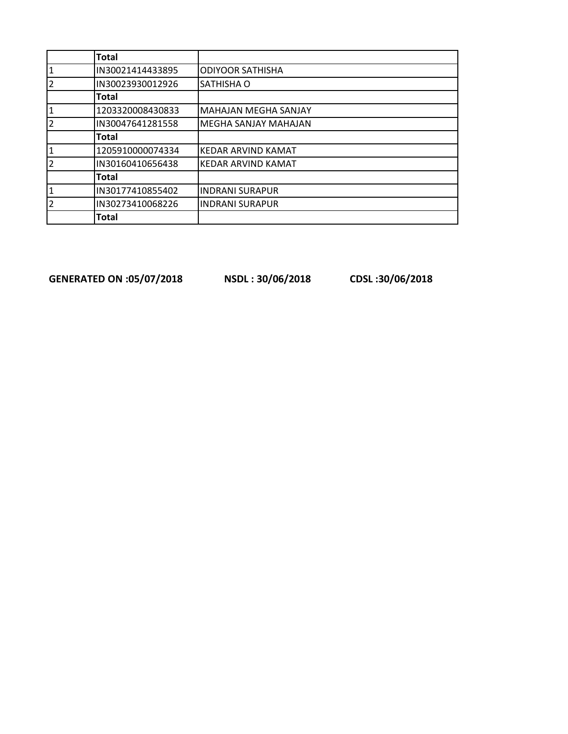|                | <b>Total</b>     |                             |
|----------------|------------------|-----------------------------|
| 1              | IN30021414433895 | <b>ODIYOOR SATHISHA</b>     |
| $\overline{2}$ | IN30023930012926 | SATHISHA O                  |
|                | <b>Total</b>     |                             |
| 1              | 1203320008430833 | <b>MAHAJAN MEGHA SANJAY</b> |
| $\overline{2}$ | IN30047641281558 | <b>MEGHA SANJAY MAHAJAN</b> |
|                | Total            |                             |
| 1              | 1205910000074334 | <b>KEDAR ARVIND KAMAT</b>   |
| $\overline{2}$ | IN30160410656438 | <b>KEDAR ARVIND KAMAT</b>   |
|                | <b>Total</b>     |                             |
| 1              | IN30177410855402 | <b>INDRANI SURAPUR</b>      |
| $\overline{2}$ | IN30273410068226 | <b>INDRANI SURAPUR</b>      |
|                | <b>Total</b>     |                             |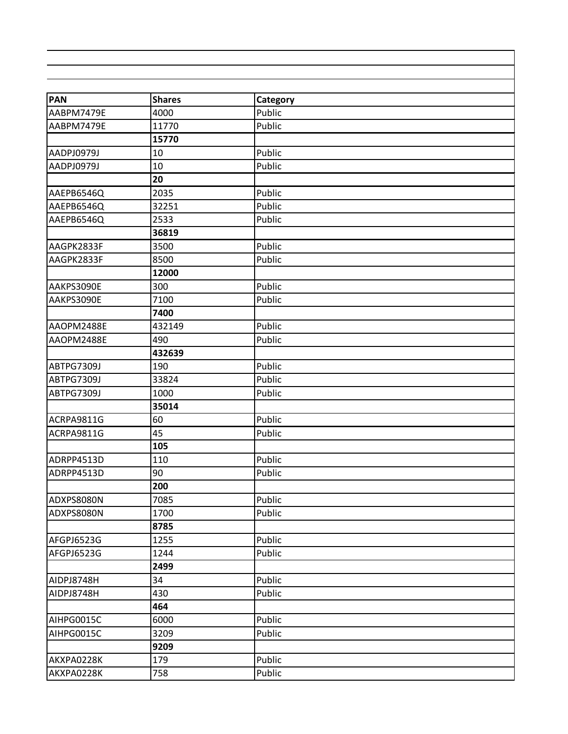| <b>PAN</b> | <b>Shares</b> | Category |  |
|------------|---------------|----------|--|
| AABPM7479E | 4000          | Public   |  |
| AABPM7479E | 11770         | Public   |  |
|            | 15770         |          |  |
| AADPJ0979J | 10            | Public   |  |
| AADPJ0979J | 10            | Public   |  |
|            | 20            |          |  |
| AAEPB6546Q | 2035          | Public   |  |
| AAEPB6546Q | 32251         | Public   |  |
| AAEPB6546Q | 2533          | Public   |  |
|            | 36819         |          |  |
| AAGPK2833F | 3500          | Public   |  |
| AAGPK2833F | 8500          | Public   |  |
|            | 12000         |          |  |
| AAKPS3090E | 300           | Public   |  |
| AAKPS3090E | 7100          | Public   |  |
|            | 7400          |          |  |
| AAOPM2488E | 432149        | Public   |  |
| AAOPM2488E | 490           | Public   |  |
|            | 432639        |          |  |
| ABTPG7309J | 190           | Public   |  |
| ABTPG7309J | 33824         | Public   |  |
| ABTPG7309J | 1000          | Public   |  |
|            | 35014         |          |  |
| ACRPA9811G | 60            | Public   |  |
| ACRPA9811G | 45            | Public   |  |
|            | 105           |          |  |
| ADRPP4513D | 110           | Public   |  |
| ADRPP4513D | 90            | Public   |  |
|            | 200           |          |  |
| ADXPS8080N | 7085          | Public   |  |
| ADXPS8080N | 1700          | Public   |  |
|            | 8785          |          |  |
| AFGPJ6523G | 1255          | Public   |  |
| AFGPJ6523G | 1244          | Public   |  |
|            | 2499          |          |  |
| AIDPJ8748H | 34            | Public   |  |
| AIDPJ8748H | 430           | Public   |  |
|            | 464           |          |  |
| AIHPG0015C | 6000          | Public   |  |
| AIHPG0015C | 3209          | Public   |  |
|            | 9209          |          |  |
| AKXPA0228K | 179           | Public   |  |
| AKXPA0228K | 758           | Public   |  |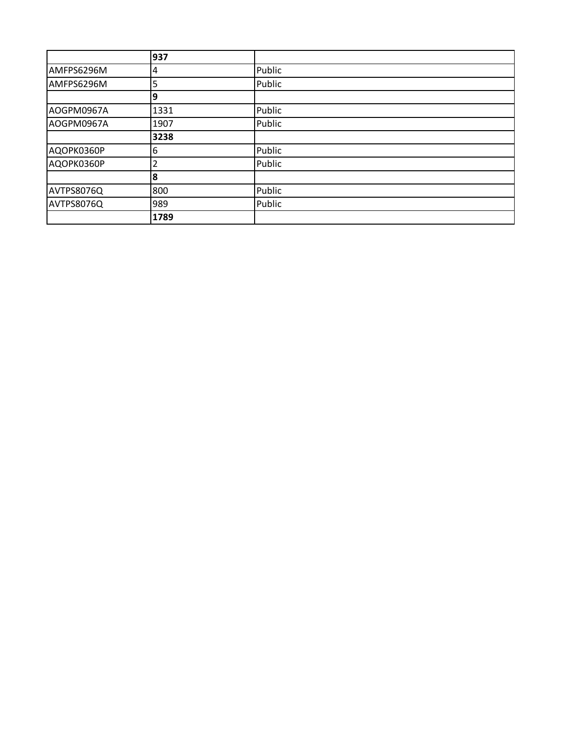|            | 937  |        |
|------------|------|--------|
| AMFPS6296M | 4    | Public |
| AMFPS6296M | 5    | Public |
|            | 9    |        |
| AOGPM0967A | 1331 | Public |
| AOGPM0967A | 1907 | Public |
|            | 3238 |        |
| AQOPK0360P | 6    | Public |
| AQOPK0360P |      | Public |
|            | 8    |        |
| AVTPS8076Q | 800  | Public |
| AVTPS8076Q | 989  | Public |
|            | 1789 |        |